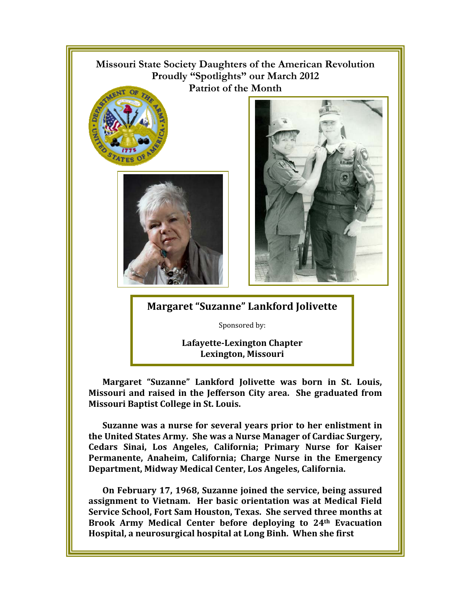

**Service School, Fort Sam Houston, Texas. She served three months at Brook Army Medical Center before deploying to 24th Evacuation Hospital, a neurosurgical hospital at Long Binh. When she first**